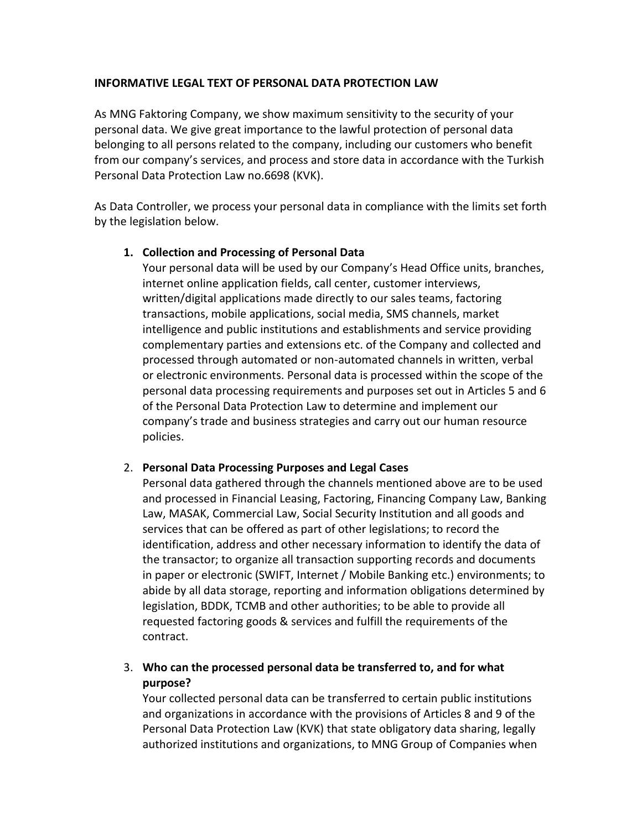## **INFORMATIVE LEGAL TEXT OF PERSONAL DATA PROTECTION LAW**

As MNG Faktoring Company, we show maximum sensitivity to the security of your personal data. We give great importance to the lawful protection of personal data belonging to all persons related to the company, including our customers who benefit from our company's services, and process and store data in accordance with the Turkish Personal Data Protection Law no.6698 (KVK).

As Data Controller, we process your personal data in compliance with the limits set forth by the legislation below.

## **1. Collection and Processing of Personal Data**

Your personal data will be used by our Company's Head Office units, branches, internet online application fields, call center, customer interviews, written/digital applications made directly to our sales teams, factoring transactions, mobile applications, social media, SMS channels, market intelligence and public institutions and establishments and service providing complementary parties and extensions etc. of the Company and collected and processed through automated or non-automated channels in written, verbal or electronic environments. Personal data is processed within the scope of the personal data processing requirements and purposes set out in Articles 5 and 6 of the Personal Data Protection Law to determine and implement our company's trade and business strategies and carry out our human resource policies.

## 2. **Personal Data Processing Purposes and Legal Cases**

Personal data gathered through the channels mentioned above are to be used and processed in Financial Leasing, Factoring, Financing Company Law, Banking Law, MASAK, Commercial Law, Social Security Institution and all goods and services that can be offered as part of other legislations; to record the identification, address and other necessary information to identify the data of the transactor; to organize all transaction supporting records and documents in paper or electronic (SWIFT, Internet / Mobile Banking etc.) environments; to abide by all data storage, reporting and information obligations determined by legislation, BDDK, TCMB and other authorities; to be able to provide all requested factoring goods & services and fulfill the requirements of the contract.

## 3. **Who can the processed personal data be transferred to, and for what purpose?**

Your collected personal data can be transferred to certain public institutions and organizations in accordance with the provisions of Articles 8 and 9 of the Personal Data Protection Law (KVK) that state obligatory data sharing, legally authorized institutions and organizations, to MNG Group of Companies when